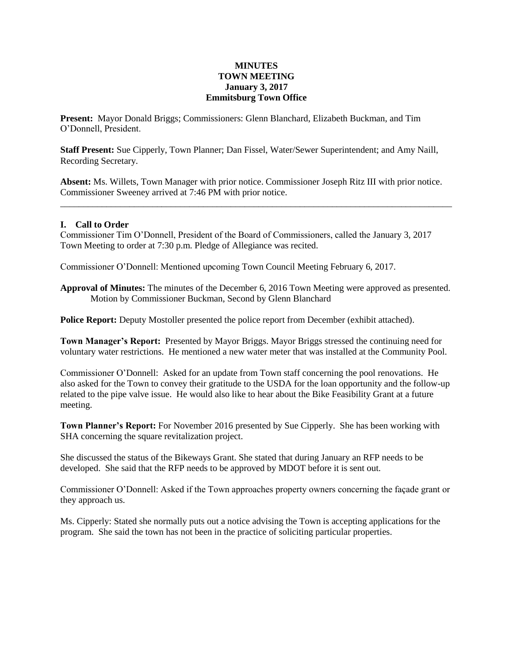## **MINUTES TOWN MEETING January 3, 2017 Emmitsburg Town Office**

**Present:** Mayor Donald Briggs; Commissioners: Glenn Blanchard, Elizabeth Buckman, and Tim O'Donnell, President.

**Staff Present:** Sue Cipperly, Town Planner; Dan Fissel, Water/Sewer Superintendent; and Amy Naill, Recording Secretary.

**Absent:** Ms. Willets, Town Manager with prior notice. Commissioner Joseph Ritz III with prior notice. Commissioner Sweeney arrived at 7:46 PM with prior notice.

\_\_\_\_\_\_\_\_\_\_\_\_\_\_\_\_\_\_\_\_\_\_\_\_\_\_\_\_\_\_\_\_\_\_\_\_\_\_\_\_\_\_\_\_\_\_\_\_\_\_\_\_\_\_\_\_\_\_\_\_\_\_\_\_\_\_\_\_\_\_\_\_\_\_\_\_\_\_\_\_\_\_\_\_\_

## **I. Call to Order**

Commissioner Tim O'Donnell, President of the Board of Commissioners, called the January 3, 2017 Town Meeting to order at 7:30 p.m. Pledge of Allegiance was recited.

Commissioner O'Donnell: Mentioned upcoming Town Council Meeting February 6, 2017.

**Approval of Minutes:** The minutes of the December 6, 2016 Town Meeting were approved as presented. Motion by Commissioner Buckman, Second by Glenn Blanchard

**Police Report:** Deputy Mostoller presented the police report from December (exhibit attached).

**Town Manager's Report:** Presented by Mayor Briggs. Mayor Briggs stressed the continuing need for voluntary water restrictions. He mentioned a new water meter that was installed at the Community Pool.

Commissioner O'Donnell: Asked for an update from Town staff concerning the pool renovations. He also asked for the Town to convey their gratitude to the USDA for the loan opportunity and the follow-up related to the pipe valve issue. He would also like to hear about the Bike Feasibility Grant at a future meeting.

**Town Planner's Report:** For November 2016 presented by Sue Cipperly. She has been working with SHA concerning the square revitalization project.

She discussed the status of the Bikeways Grant. She stated that during January an RFP needs to be developed. She said that the RFP needs to be approved by MDOT before it is sent out.

Commissioner O'Donnell: Asked if the Town approaches property owners concerning the façade grant or they approach us.

Ms. Cipperly: Stated she normally puts out a notice advising the Town is accepting applications for the program. She said the town has not been in the practice of soliciting particular properties.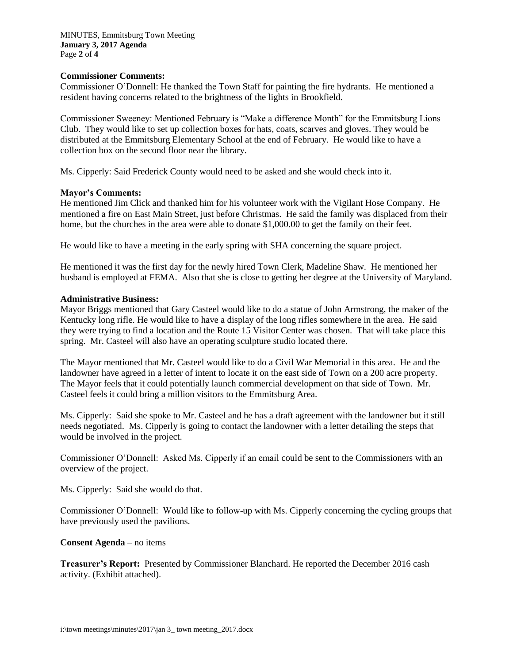## **Commissioner Comments:**

Commissioner O'Donnell: He thanked the Town Staff for painting the fire hydrants. He mentioned a resident having concerns related to the brightness of the lights in Brookfield.

Commissioner Sweeney: Mentioned February is "Make a difference Month" for the Emmitsburg Lions Club. They would like to set up collection boxes for hats, coats, scarves and gloves. They would be distributed at the Emmitsburg Elementary School at the end of February. He would like to have a collection box on the second floor near the library.

Ms. Cipperly: Said Frederick County would need to be asked and she would check into it.

#### **Mayor's Comments:**

He mentioned Jim Click and thanked him for his volunteer work with the Vigilant Hose Company. He mentioned a fire on East Main Street, just before Christmas. He said the family was displaced from their home, but the churches in the area were able to donate \$1,000.00 to get the family on their feet.

He would like to have a meeting in the early spring with SHA concerning the square project.

He mentioned it was the first day for the newly hired Town Clerk, Madeline Shaw. He mentioned her husband is employed at FEMA. Also that she is close to getting her degree at the University of Maryland.

#### **Administrative Business:**

Mayor Briggs mentioned that Gary Casteel would like to do a statue of John Armstrong, the maker of the Kentucky long rifle. He would like to have a display of the long rifles somewhere in the area. He said they were trying to find a location and the Route 15 Visitor Center was chosen. That will take place this spring. Mr. Casteel will also have an operating sculpture studio located there.

The Mayor mentioned that Mr. Casteel would like to do a Civil War Memorial in this area. He and the landowner have agreed in a letter of intent to locate it on the east side of Town on a 200 acre property. The Mayor feels that it could potentially launch commercial development on that side of Town. Mr. Casteel feels it could bring a million visitors to the Emmitsburg Area.

Ms. Cipperly: Said she spoke to Mr. Casteel and he has a draft agreement with the landowner but it still needs negotiated. Ms. Cipperly is going to contact the landowner with a letter detailing the steps that would be involved in the project.

Commissioner O'Donnell: Asked Ms. Cipperly if an email could be sent to the Commissioners with an overview of the project.

Ms. Cipperly: Said she would do that.

Commissioner O'Donnell: Would like to follow-up with Ms. Cipperly concerning the cycling groups that have previously used the pavilions.

#### **Consent Agenda** – no items

**Treasurer's Report:** Presented by Commissioner Blanchard. He reported the December 2016 cash activity. (Exhibit attached).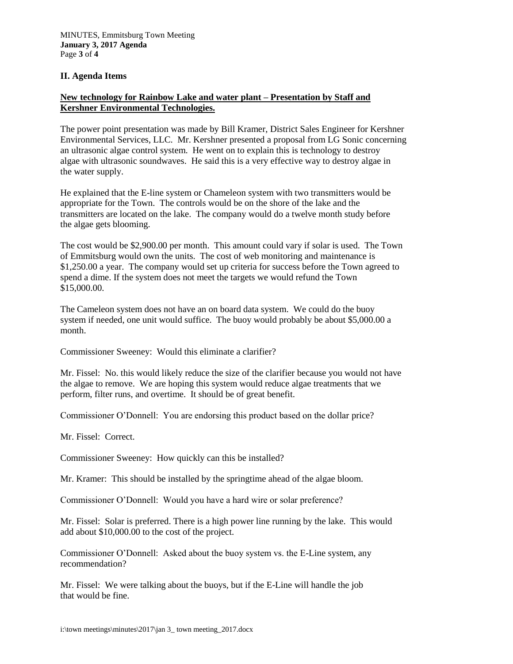## **II. Agenda Items**

# **New technology for Rainbow Lake and water plant – Presentation by Staff and Kershner Environmental Technologies.**

The power point presentation was made by Bill Kramer, District Sales Engineer for Kershner Environmental Services, LLC. Mr. Kershner presented a proposal from LG Sonic concerning an ultrasonic algae control system. He went on to explain this is technology to destroy algae with ultrasonic soundwaves. He said this is a very effective way to destroy algae in the water supply.

He explained that the E-line system or Chameleon system with two transmitters would be appropriate for the Town. The controls would be on the shore of the lake and the transmitters are located on the lake. The company would do a twelve month study before the algae gets blooming.

The cost would be \$2,900.00 per month. This amount could vary if solar is used. The Town of Emmitsburg would own the units. The cost of web monitoring and maintenance is \$1,250.00 a year. The company would set up criteria for success before the Town agreed to spend a dime. If the system does not meet the targets we would refund the Town \$15,000.00.

The Cameleon system does not have an on board data system. We could do the buoy system if needed, one unit would suffice. The buoy would probably be about \$5,000.00 a month.

Commissioner Sweeney: Would this eliminate a clarifier?

Mr. Fissel: No. this would likely reduce the size of the clarifier because you would not have the algae to remove. We are hoping this system would reduce algae treatments that we perform, filter runs, and overtime. It should be of great benefit.

Commissioner O'Donnell: You are endorsing this product based on the dollar price?

Mr. Fissel: Correct.

Commissioner Sweeney: How quickly can this be installed?

Mr. Kramer: This should be installed by the springtime ahead of the algae bloom.

Commissioner O'Donnell: Would you have a hard wire or solar preference?

Mr. Fissel: Solar is preferred. There is a high power line running by the lake. This would add about \$10,000.00 to the cost of the project.

Commissioner O'Donnell: Asked about the buoy system vs. the E-Line system, any recommendation?

Mr. Fissel: We were talking about the buoys, but if the E-Line will handle the job that would be fine.